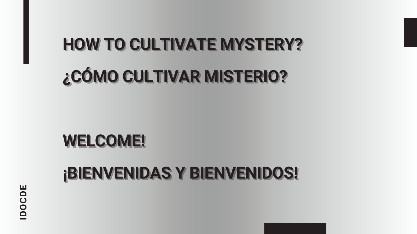# **HOW TO CULTIVATE MYSTERY?**  $\boldsymbol{\mathcal{E}}$ CÓMO CULTIVAR MISTERIO?

# WELCOME!

# **¡BIENVENIDAS Y BIENVENIDOS!**

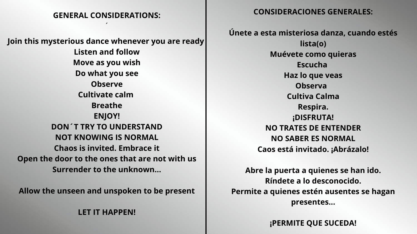### **GENERAL CONSIDERATIONS:**

 $\overline{\phantom{a}}$ 

**Join this mysterious dance whenever you are ready Listen and follow Move as you wish Do what you see Observe Cultivate calm Breathe ENJOY! DON´T TRY TO UNDERSTAND NOT KNOWING IS NORMAL Chaos is invited. Embrace it Open the door to the ones that are not with us Surrender to the unknown…**

**Allow the unseen and unspoken to be present**

**LET IT HAPPEN!**

### **CONSIDERACIONES GENERALES:**

**Únete a esta misteriosa danza, cuando estés lista(o) Muévete como quieras Escucha Haz lo que veas Observa Cultiva Calma Respira. ¡DISFRUTA! NO TRATES DE ENTENDER NO SABER ES NORMAL Caos está invitado. ¡Abrázalo!**

**Abre la puerta a quienes se han ido. Ríndete a lo desconocido.**

**Permite a quienes estén ausentes se hagan presentes...**

**¡PERMITE QUE SUCEDA!**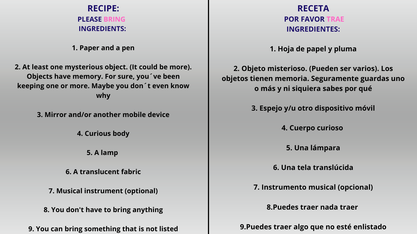| <b>RECIPE:</b>                                                                                                                                                 |                                         |
|----------------------------------------------------------------------------------------------------------------------------------------------------------------|-----------------------------------------|
| <b>PLEASE BRING</b>                                                                                                                                            |                                         |
| <b>INGREDIENTS:</b>                                                                                                                                            |                                         |
| 1. Paper and a pen                                                                                                                                             |                                         |
| 2. At least one mysterious object. (It could be more).<br>Objects have memory. For sure, you 've been<br>keeping one or more. Maybe you don't even know<br>why | 2. Objet<br>objetos tie<br>$\mathbf{O}$ |
| 3. Mirror and/or another mobile device                                                                                                                         | 3.                                      |
| <b>4. Curious body</b>                                                                                                                                         |                                         |
| 5. A lamp                                                                                                                                                      |                                         |
| 6. A translucent fabric                                                                                                                                        |                                         |
| 7. Musical instrument (optional)                                                                                                                               | 7.                                      |
| 8. You don't have to bring anything                                                                                                                            |                                         |
| 9. You can bring something that is not listed                                                                                                                  | 9.Pue                                   |

### **RECETA POR FAVOR TRAE INGREDIENTES:**

**1. Hoja de papel y pluma**

**2. Objeto misterioso. (Pueden ser varios). Los objetos tienen memoria. Seguramente guardas uno o más y ni siquiera sabes por qué**

**3. Espejo y/u otro dispositivo móvil**

**4. Cuerpo curioso**

**5. Una lámpara**

**6. Una tela translúcida**

**7. Instrumento musical (opcional)**

**8.Puedes traer nada traer**

**9.Puedes traer algo que no esté enlistado**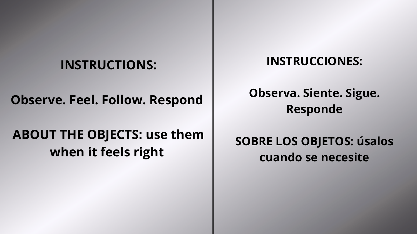### **INSTRUCTIONS:**

### **Observe. Feel. Follow. Respond**

## **ABOUT THE OBJECTS: use them when it feels right**

### **INSTRUCCIONES:**

### **Observa. Siente. Sigue. Responde**

### **SOBRE LOS OBJETOS: úsalos cuando se necesite**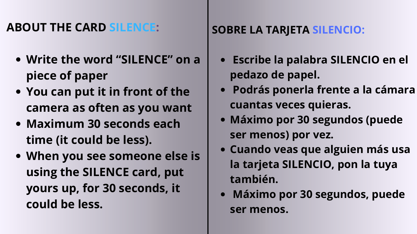- **Write the word "SILENCE" on a piece of paper**
- **You can put it in front of the camera as often as you want**
- **Maximum 30 seconds each time (it could be less).**
- **When you see someone else is using the SILENCE card, put yours up, for 30 seconds, it could be less.**

### **ABOUT THE CARD SILENCE:**

- **Escribe la palabra SILENCIO en el pedazo de papel.**
	- **Podrás ponerla frente a la cámara cuantas veces quieras.**
- **Máximo por 30 segundos (puede**
	- **ser menos) por vez.**
- **Cuando veas que alguien más usa la tarjeta SILENCIO, pon la tuya también.**
- **Máximo por 30 segundos, puede ser menos.**

### **SOBRE LA TARJETA SILENCIO:**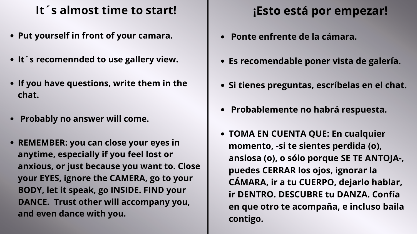- **Put yourself in front of your camara.**
- **It´s recomennded to use gallery view.**
- **If you have questions, write them in the chat.**
- **Probably no answer will come.**
- **REMEMBER: you can close your eyes in anytime, especially if you feel lost or anxious, or just because you want to. Close your EYES, ignore the CAMERA, go to your BODY, let it speak, go INSIDE. FIND your DANCE. Trust other will accompany you, and even dance with you.**

### **It´ s almost time to start!**

- **Ponte enfrente de la cámara.**
- **Es recomendable poner vista de galería.**
- **Si tienes preguntas, escríbelas en el chat.**
- **Probablemente no habrá respuesta.**
- **TOMA EN CUENTA QUE: En cualquier momento, -si te sientes perdida (o), ansiosa (o), o sólo porque SE TE ANTOJA-, puedes CERRAR los ojos, ignorar la CÁMARA, ir a tu CUERPO, dejarlo hablar, ir DENTRO. DESCUBRE tu DANZA. Confía en que otro te acompaña, e incluso baila contigo.**

### **¡Esto está por empezar!**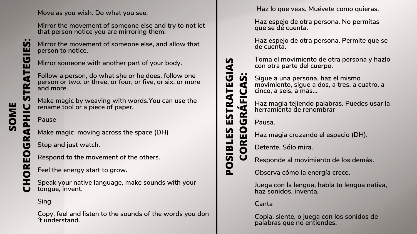**Move as you wish. Do what you see.**

**Mirror the movement of someone else and try to not let that person notice you are mirroring them.**

**Mirror someone with another part of your body.**

<u>ဟ</u> **OMEOGRA PHICS T**

**S :**

> **Make magic by weaving with words.You can use the rename tool or a piece of paper.**

**Mirror the movement of someone else, and allow that person to notice.**

**Make magic moving across the space (DH)**

**Stop and just watch.**

**Follow a person, do what she or he does, follow one person or two, or three, or four, or five, or six, or more and more. RA**

**Respond to the movement of the others.**

**Feel the energy start to grow.**

**Pause**

**Sing**

**Speak your native language, make sounds with your tongue, invent.**

**Copy, feel and listen to the sounds of the words you don ´t understand.**

**C**

 $\overline{M}$ **I B**

**H**

**O**

**ES** 

**R**

**E**

**I A**

 $\boldsymbol{\mathsf{S}}$ 

**FI** 

 $\overline{M}$ **:**

**T**

**E**

**GIE**

**Haz lo que veas. Muévete como quieras.**

**Haz espejo de otra persona. No permitas que se dé cuenta.**

**Haz espejo de otra persona. Permite que se de cuenta.**

**Toma el movimiento de otra persona y hazlo con otra parte del cuerpo.**

**Sigue a una persona, haz el mismo movimiento, sigue a dos, a tres, a cuatro, a cinco, a seis, a más…**

**Haz magia tejiendo palabras. Puedes usar la herramienta de renombrar**

**Pausa.**

**Responde al movimiento de los demás.**

**Observa cómo la energía crece.**

**Juega con la lengua, habla tu lengua nativa, haz sonidos, inventa.**

**Haz magia cruzando el espacio (DH).**

**Detente. Sólo mira.**

**Canta**

**Copia, siente, o juega con los sonidos de palabras que no entiendes.**

**P**

**O**

**L**

**E**

 $\boldsymbol{\mathsf{S}}$ 

**T**

**RA**

**O**

**T**

**R**

**E**

**E**

**G**

**G**

**C**

**C**

**A**

**O**

**RÁ**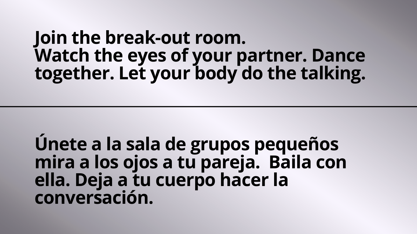# **Join the break-out room. Watch the eyes of your partner. Dance together. Let your body do the talking.**

**Únete a la sala de grupos pequeños mira a los ojos a tu pareja. Baila con ella. Deja a tu cuerpo hacer la conversación.**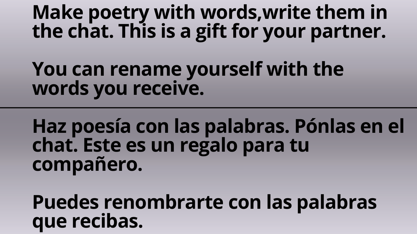# **Make poetry with words,write them in the chat. This is a gift for your partner. You can rename yourself with the**

# **words you receive.**

# **Haz poesía con las palabras. Pónlas en el chat. Este es un regalo para tu compañero.**

**Puedes renombrarte con las palabras que recibas.**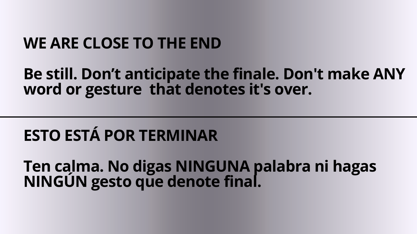# **WE ARE CLOSE TO THE END**

**Be still. Don't anticipate the finale. Don't make ANY word or gesture that denotes it's over.**

# **ESTO ESTÁ POR TERMINAR**

**Ten calma. No digas NINGUNA palabra ni hagas NINGÚN gesto que denote final.**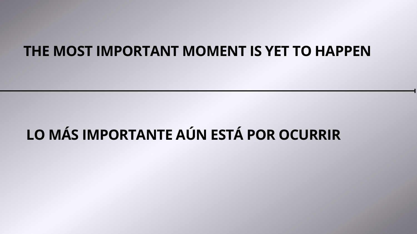## **THE MOST IMPORTANT MOMENT IS YET TO HAPPEN**

# **LO MÁS IMPORTANTE AÚN ESTÁ POR OCURRIR**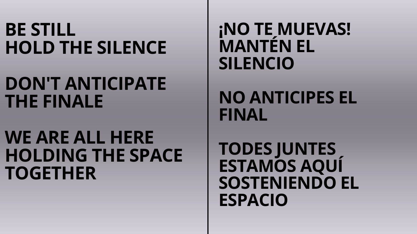# **BE STILL HOLD THE SILENCE**

# **DON'T ANTICIPATE THE FINALE**

# **WE ARE ALL HERE HOLDING THE SPACE TOGETHER**

# **¡NO TE MUEVAS! MANTÉN EL**

**SILENCIO**

# **NO ANTICIPES EL**

**FINAL**

# **TODES JUNTES ESTAMOS AQUÍ SOSTENIENDO EL**

**ESPACIO**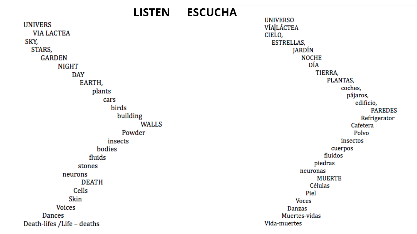### **LISTEN ESCUCHA**

**UNIVERS VIA LACTEA** SKY, STARS, **GARDEN NIGHT DAY** EARTH, plants cars birds building **WALLS** Powder insects bodies fluids stones neurons **DEATH** Cells Skin **Voices** Dances Death-lifes /Life - deaths

**UNIVERSO VÍA LÁCTEA** CIELO, ESTRELLAS, JARDÍN **NOCHE** DÍA TIERRA, PLANTAS, coches, pájaros, edificio, **PAREDES** Refrigerator Cafetera Polvo insectos cuerpos fluidos piedras neuronas **MUERTE** Células Piel **Voces** Danzas Muertes-vidas Vida-muertes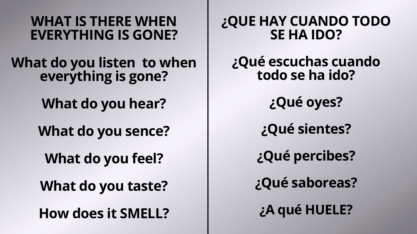### **¿QUE HAY CUANDO TODO SE HA IDO?**

- **¿Qué escuchas cuando todo se ha ido?**
	- **¿Qué oyes?**
	- **¿Qué sientes?**
	- **¿Qué percibes?**
	- **¿Qué saboreas?**
	- **¿A qué HUELE?**

### **WHAT IS THERE WHEN EVERYTHING IS GONE?**

**What do you listen to when everything is gone?**

**What do you hear?**

**What do you sence?**

**What do you feel?**

**What do you taste?**

**How does it SMELL?**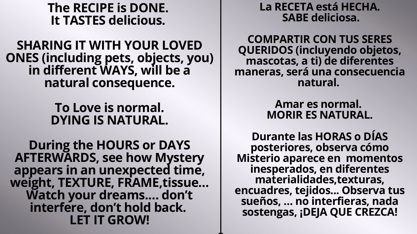### **The RECIPE is DONE. It TASTES delicious.**

**SHARING IT WITH YOUR LOVED ONES (including pets, objects, you) in different WAYS, will be a natural consequence.**

> **To Love is normal. DYING IS NATURAL.**

**During the HOURS or DAYS AFTERWARDS, see how Mystery appears in an unexpected time, weight, TEXTURE, FRAME,tissue… Watch your dreams.… don't interfere, don't hold back. LET IT GROW!**

### **La RECETA está HECHA. SABE deliciosa.**

**COMPARTIR CON TUS SERES QUERIDOS (incluyendo objetos, mascotas, a ti) de diferentes maneras, será una consecuencia natural.**

### **Amar es normal. MORIR ES NATURAL.**

**Durante las HORAS o DÍAS posteriores, observa cómo Misterio aparece en momentos inesperados, en diferentes materialidades,texturas, encuadres, tejidos... Observa tus sueños, … no interfieras, nada sostengas, ¡DEJA QUE CREZCA!**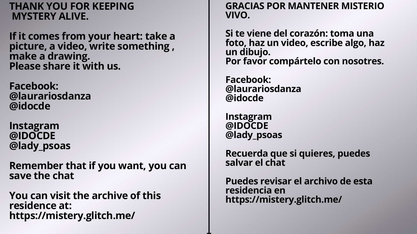### **THANK YOU FOR KEEPING MYSTERY ALIVE.**

**If it comes from your heart: take a picture, a video, write something , make a drawing. Please share it with us.**

**Facebook: @laurariosdanza @idocde**

**Instagram @IDOCDE @lady\_psoas**

**Remember that if you want, you can save the chat**

**You can visit the archive of this residence at: https://mistery.glitch.me/**

### **GRACIAS POR MANTENER MISTERIO**

**VIVO.**

**un dibujo.**

**Facebook: @idocde**

- **Si te viene del corazón: toma una foto, haz un video, escribe algo, haz Por favor compártelo con nosotres.**
- **@laurariosdanza**
	-
- **Recuerda que si quieres, puedes**
- **Puedes revisar el archivo de esta https://mistery.glitch.me/**

**Instagram @IDOCDE @lady\_psoas**

**salvar el chat**

**residencia en**